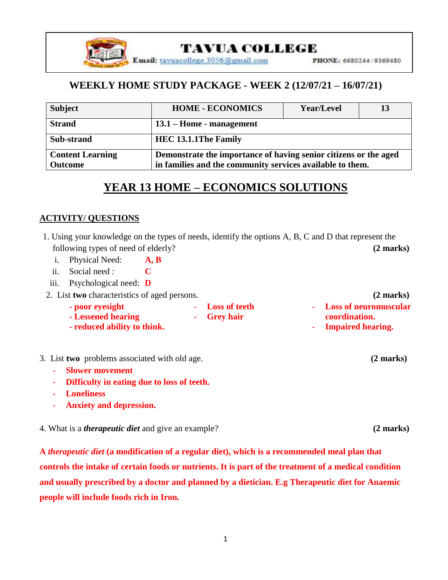

## TAVUA COLLEGE

Email: tavuacollege.3056@gmail.com

PHONE: 6680244/9369480

## **WEEKLY HOME STUDY PACKAGE - WEEK 2 (12/07/21 – 16/07/21)**

| <b>Subject</b>          | <b>HOME - ECONOMICS</b>                                          | <b>Year/Level</b> | 13 |
|-------------------------|------------------------------------------------------------------|-------------------|----|
| <b>Strand</b>           | $13.1 -$ Home - management                                       |                   |    |
| Sub-strand              | <b>HEC 13.1.1The Family</b>                                      |                   |    |
| <b>Content Learning</b> | Demonstrate the importance of having senior citizens or the aged |                   |    |
| <b>Outcome</b>          | in families and the community services available to them.        |                   |    |

## **YEAR 13 HOME – ECONOMICS SOLUTIONS**

## **ACTIVITY/ QUESTIONS**

- 1. Using your knowledge on the types of needs, identify the options A, B, C and D that represent the following types of need of elderly? **(2 marks)**
	- i. Physical Need: **A, B**
	- ii. Social need : **C**
	- iii. Psychological need: **D**
- 2. List **two** characteristics of aged persons. **(2 marks)**

| - poor eyesight             | - Loss of teeth | - Loss of neuromuscular |
|-----------------------------|-----------------|-------------------------|
| - Lessened hearing          | - Grey hair     | coordination.           |
| - reduced ability to think. |                 | - Impaired hearing.     |

- 3. List **two** problems associated with old age. **(2 marks)**
	- **Slower movement**
	- **Difficulty in eating due to loss of teeth.**
	- **Loneliness**
	- **Anxiety and depression.**
- 4. What is a *therapeutic diet* and give an example? **(2 marks)**

**A** *therapeutic diet* **(a modification of a regular diet), which is a recommended meal plan that controls the intake of certain foods or nutrients. It is part of the treatment of a medical condition and usually prescribed by a doctor and planned by a dietician. E.g Therapeutic diet for Anaemic people will include foods rich in Iron.**